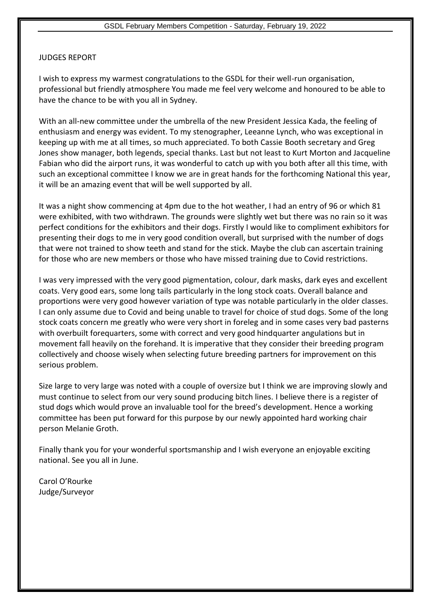## JUDGES REPORT

I wish to express my warmest congratulations to the GSDL for their well-run organisation, professional but friendly atmosphere You made me feel very welcome and honoured to be able to have the chance to be with you all in Sydney.

With an all-new committee under the umbrella of the new President Jessica Kada, the feeling of enthusiasm and energy was evident. To my stenographer, Leeanne Lynch, who was exceptional in keeping up with me at all times, so much appreciated. To both Cassie Booth secretary and Greg Jones show manager, both legends, special thanks. Last but not least to Kurt Morton and Jacqueline Fabian who did the airport runs, it was wonderful to catch up with you both after all this time, with such an exceptional committee I know we are in great hands for the forthcoming National this year, it will be an amazing event that will be well supported by all.

It was a night show commencing at 4pm due to the hot weather, I had an entry of 96 or which 81 were exhibited, with two withdrawn. The grounds were slightly wet but there was no rain so it was perfect conditions for the exhibitors and their dogs. Firstly I would like to compliment exhibitors for presenting their dogs to me in very good condition overall, but surprised with the number of dogs that were not trained to show teeth and stand for the stick. Maybe the club can ascertain training for those who are new members or those who have missed training due to Covid restrictions.

I was very impressed with the very good pigmentation, colour, dark masks, dark eyes and excellent coats. Very good ears, some long tails particularly in the long stock coats. Overall balance and proportions were very good however variation of type was notable particularly in the older classes. I can only assume due to Covid and being unable to travel for choice of stud dogs. Some of the long stock coats concern me greatly who were very short in foreleg and in some cases very bad pasterns with overbuilt forequarters, some with correct and very good hindquarter angulations but in movement fall heavily on the forehand. It is imperative that they consider their breeding program collectively and choose wisely when selecting future breeding partners for improvement on this serious problem.

Size large to very large was noted with a couple of oversize but I think we are improving slowly and must continue to select from our very sound producing bitch lines. I believe there is a register of stud dogs which would prove an invaluable tool for the breed's development. Hence a working committee has been put forward for this purpose by our newly appointed hard working chair person Melanie Groth.

Finally thank you for your wonderful sportsmanship and I wish everyone an enjoyable exciting national. See you all in June.

Carol O'Rourke Judge/Surveyor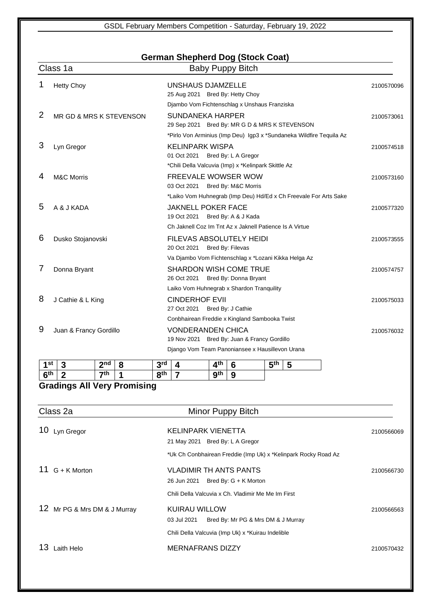## **German Shepherd Dog (Stock Coat)**

|          | Class 1a                | <b>Baby Puppy Bitch</b>                                             |            |
|----------|-------------------------|---------------------------------------------------------------------|------------|
|          | <b>Hetty Choy</b>       | UNSHAUS DJAMZELLE<br>25 Aug 2021 Bred By: Hetty Choy                | 2100570096 |
|          |                         | Djambo Vom Fichtenschlag x Unshaus Franziska                        |            |
| 2        | MR GD & MRS K STEVENSON | <b>SUNDANEKA HARPER</b>                                             | 2100573061 |
|          |                         | 29 Sep 2021 Bred By: MR G D & MRS K STEVENSON                       |            |
|          |                         | *Pirlo Von Arminius (Imp Deu) Igp3 x *Sundaneka Wildfire Tequila Az |            |
| 3        | Lyn Gregor              | <b>KELINPARK WISPA</b>                                              | 2100574518 |
|          |                         | 01 Oct 2021<br>Bred By: L A Gregor                                  |            |
|          |                         | *Chili Della Valcuvia (Imp) x *Kelinpark Skittle Az                 |            |
| 4        | <b>M&amp;C Morris</b>   | <b>FREEVALE WOWSER WOW</b>                                          | 2100573160 |
|          |                         | Bred By: M&C Morris<br>03 Oct 2021                                  |            |
|          |                         | *Laiko Vom Huhnegrab (Imp Deu) Hd/Ed x Ch Freevale For Arts Sake    |            |
| 5        | A & J KADA              | <b>JAKNELL POKER FACE</b>                                           | 2100577320 |
|          |                         | Bred By: A & J Kada<br>19 Oct 2021                                  |            |
|          |                         | Ch Jaknell Coz Im Tnt Az x Jaknell Patience Is A Virtue             |            |
| 6        | Dusko Stojanovski       | FILEVAS ABSOLUTELY HEIDI                                            | 2100573555 |
|          |                         | 20 Oct 2021<br>Bred By: Filevas                                     |            |
|          |                         | Va Djambo Vom Fichtenschlag x *Lozani Kikka Helga Az                |            |
| $\prime$ | Donna Bryant            | <b>SHARDON WISH COME TRUE</b>                                       | 2100574757 |
|          |                         | 26 Oct 2021<br>Bred By: Donna Bryant                                |            |
|          |                         | Laiko Vom Huhnegrab x Shardon Tranquility                           |            |
| 8        | J Cathie & L King       | <b>CINDERHOF EVII</b>                                               | 2100575033 |
|          |                         | 27 Oct 2021<br>Bred By: J Cathie                                    |            |
|          |                         | Conbhairean Freddie x Kingland Sambooka Twist                       |            |
| 9        | Juan & Francy Gordillo  | <b>VONDERANDEN CHICA</b>                                            | 2100576032 |
|          |                         | 19 Nov 2021 Bred By: Juan & Francy Gordillo                         |            |
|          |                         | Django Vom Team Panoniansee x Hausillevon Urana                     |            |
|          |                         |                                                                     |            |

| 1st             | ÷ | 2nd | 8 | 2rd<br>w   | $\mathbf{z}$ | $\mathbf{\Lambda}^{\text{th}}$ | О      | <b>兵th</b> | $\overline{\phantom{0}}$<br>ັ |
|-----------------|---|-----|---|------------|--------------|--------------------------------|--------|------------|-------------------------------|
| 6 <sup>th</sup> | ℯ | ₹th |   | <b>Qth</b> |              | <b>gth</b>                     | O<br>œ |            |                               |

## **Gradings All Very Promising**

| Class 2a                     | Minor Puppy Bitch                                                         |            |
|------------------------------|---------------------------------------------------------------------------|------------|
| 10<br>Lyn Gregor             | KELINPARK VIENETTA<br>21 May 2021 Bred By: L A Gregor                     | 2100566069 |
|                              | *Uk Ch Conbhairean Freddie (Imp Uk) x *Kelinpark Rocky Road Az            |            |
| $G + K$ Morton               | <b>VLADIMIR TH ANTS PANTS</b><br>Bred By: G + K Morton<br>26 Jun 2021     | 2100566730 |
|                              | Chili Della Valcuvia x Ch. Vladimir Me Me Im First                        |            |
| 12 Mr PG & Mrs DM & J Murray | <b>KUIRAU WILLOW</b><br>03 Jul 2021<br>Bred By: Mr PG & Mrs DM & J Murray | 2100566563 |
|                              | Chili Della Valcuvia (Imp Uk) x *Kuirau Indelible                         |            |
| 13<br>Laith Helo             | <b>MERNAFRANS DIZZY</b>                                                   | 2100570432 |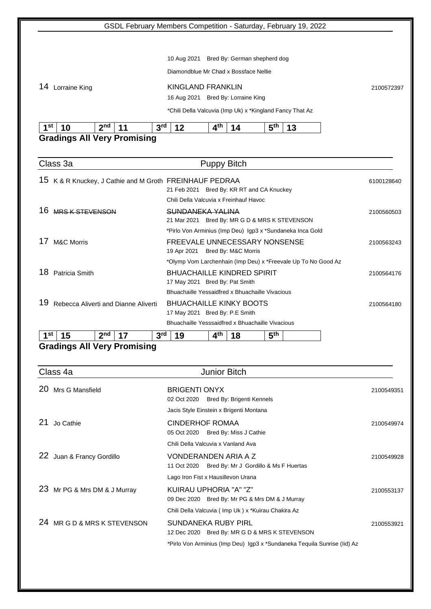|                                                         | GSDL February Members Competition - Saturday, February 19, 2022              |            |
|---------------------------------------------------------|------------------------------------------------------------------------------|------------|
|                                                         |                                                                              |            |
|                                                         | Bred By: German shepherd dog<br>10 Aug 2021                                  |            |
|                                                         | Diamondblue Mr Chad x Bossface Nellie                                        |            |
|                                                         |                                                                              |            |
| 14 Lorraine King                                        | <b>KINGLAND FRANKLIN</b>                                                     | 2100572397 |
|                                                         | 16 Aug 2021 Bred By: Lorraine King                                           |            |
|                                                         | *Chili Della Valcuvia (Imp Uk) x *Kingland Fancy That Az                     |            |
| 1 <sup>st</sup><br>10<br>2 <sup>nd</sup><br>11          | 3 <sup>rd</sup><br>12<br>4 <sup>th</sup><br>5 <sup>th</sup><br>13<br>14      |            |
| <b>Gradings All Very Promising</b>                      |                                                                              |            |
|                                                         |                                                                              |            |
| Class 3a                                                | <b>Puppy Bitch</b>                                                           |            |
| 15 K & R Knuckey, J Cathie and M Groth FREINHAUF PEDRAA |                                                                              | 6100128640 |
|                                                         | 21 Feb 2021 Bred By: KR RT and CA Knuckey                                    |            |
|                                                         | Chili Della Valcuvia x Freinhauf Havoc                                       |            |
| 16 MRS K STEVENSON                                      | SUNDANEKA YALINA<br>21 Mar 2021 Bred By: MR G D & MRS K STEVENSON            | 2100560503 |
|                                                         | *Pirlo Von Arminius (Imp Deu) Igp3 x *Sundaneka Inca Gold                    |            |
| <b>M&amp;C Morris</b><br>1/                             | FREEVALE UNNECESSARY NONSENSE                                                | 2100563243 |
|                                                         | 19 Apr 2021 Bred By: M&C Morris                                              |            |
|                                                         | *Olymp Vom Larchenhain (Imp Deu) x *Freevale Up To No Good Az                |            |
| 18 Patricia Smith                                       | <b>BHUACHAILLE KINDRED SPIRIT</b><br>17 May 2021 Bred By: Pat Smith          | 2100564176 |
|                                                         | Bhuachaille Yessaidfred x Bhuachaille Vivacious                              |            |
| 19<br>Rebecca Aliverti and Dianne Aliverti              | <b>BHUACHAILLE KINKY BOOTS</b>                                               | 2100564180 |
|                                                         | 17 May 2021 Bred By: P.E Smith                                               |            |
|                                                         | Bhuachaille Yesssaidfred x Bhuachaille Vivacious                             |            |
| 2 <sub>nd</sub><br>st<br>15<br>17                       | 3 <sup>rd</sup><br>5 <sup>th</sup><br>4 <sup>th</sup><br>19<br>18            |            |
| <b>Gradings All Very Promising</b>                      |                                                                              |            |
|                                                         |                                                                              |            |
| Class 4a                                                | <b>Junior Bitch</b>                                                          |            |
| 20<br>Mrs G Mansfield                                   | <b>BRIGENTI ONYX</b>                                                         | 2100549351 |
|                                                         | 02 Oct 2020<br>Bred By: Brigenti Kennels                                     |            |
|                                                         | Jacis Style Einstein x Brigenti Montana                                      |            |
| 21<br>Jo Cathie                                         | <b>CINDERHOF ROMAA</b>                                                       | 2100549974 |
|                                                         | Bred By: Miss J Cathie<br>05 Oct 2020<br>Chili Della Valcuvia x Vanland Ava  |            |
|                                                         |                                                                              |            |
| 22 Juan & Francy Gordillo                               | VONDERANDEN ARIA A Z<br>Bred By: Mr J Gordillo & Ms F Huertas<br>11 Oct 2020 | 2100549928 |
|                                                         | Lago Iron Fist x Hausillevon Urana                                           |            |
| 23 Mr PG & Mrs DM & J Murray                            | KUIRAU UPHORIA "A" "Z"                                                       | 2100553137 |
|                                                         | 09 Dec 2020 Bred By: Mr PG & Mrs DM & J Murray                               |            |
|                                                         | Chili Della Valcuvia (Imp Uk) x *Kuirau Chakira Az                           |            |
| 24 MR G D & MRS K STEVENSON                             | <b>SUNDANEKA RUBY PIRL</b>                                                   | 2100553921 |
|                                                         | 12 Dec 2020 Bred By: MR G D & MRS K STEVENSON                                |            |
|                                                         | *Pirlo Von Arminius (Imp Deu) Igp3 x *Sundaneka Tequila Sunrise (Iid) Az     |            |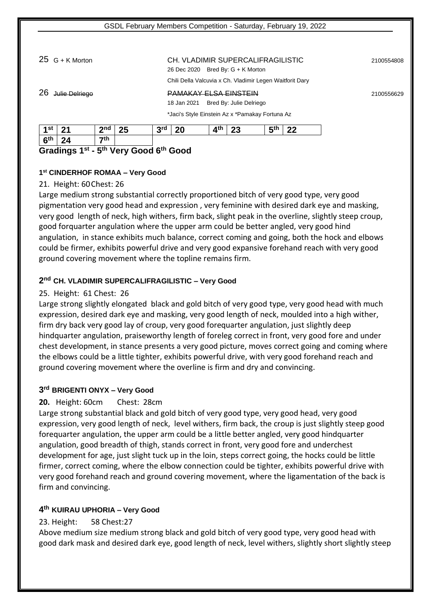## 25 G + K Morton CH. VLADIMIR SUPERCALIFRAGILISTIC <sup>2100554808</sup>

Chili Della Valcuvia x Ch. Vladimir Legen Waitforit Dary

## 26 Julie Delriego PAMAKAY ELSA EINSTEIN <sup>2100556629</sup>

26 Dec 2020 Bred By: G + K Morton

18 Jan 2021 Bred By: Julie Delriego

\*Jaci's Style Einstein Az x \*Pamakay Fortuna Az

| $\overline{1}$ 4 st | - 24 | $2n$ d    | 25 | 2rd<br>ັ | 20 | ⊿th | າາ<br>Lυ | <b>д</b> th<br>ູ | າາ |
|---------------------|------|-----------|----|----------|----|-----|----------|------------------|----|
| $ 6^{\text{th}} $   | 24   | $\tau$ th |    |          |    |     |          |                  |    |

## **Gradings 1 st - 5 th Very Good 6th Good**

## **1 st CINDERHOF ROMAA – Very Good**

## 21. Height: 60Chest: 26

Large medium strong substantial correctly proportioned bitch of very good type, very good pigmentation very good head and expression , very feminine with desired dark eye and masking, very good length of neck, high withers, firm back, slight peak in the overline, slightly steep croup, good forquarter angulation where the upper arm could be better angled, very good hind angulation, in stance exhibits much balance, correct coming and going, both the hock and elbows could be firmer, exhibits powerful drive and very good expansive forehand reach with very good ground covering movement where the topline remains firm.

## **2 nd CH. VLADIMIR SUPERCALIFRAGILISTIC – Very Good**

## 25. Height: 61 Chest: 26

Large strong slightly elongated black and gold bitch of very good type, very good head with much expression, desired dark eye and masking, very good length of neck, moulded into a high wither, firm dry back very good lay of croup, very good forequarter angulation, just slightly deep hindquarter angulation, praiseworthy length of foreleg correct in front, very good fore and under chest development, in stance presents a very good picture, moves correct going and coming where the elbows could be a little tighter, exhibits powerful drive, with very good forehand reach and ground covering movement where the overline is firm and dry and convincing.

## **3 rd BRIGENTI ONYX – Very Good**

## **20.** Height: 60cm Chest: 28cm

Large strong substantial black and gold bitch of very good type, very good head, very good expression, very good length of neck, level withers, firm back, the croup is just slightly steep good forequarter angulation, the upper arm could be a little better angled, very good hindquarter angulation, good breadth of thigh, stands correct in front, very good fore and underchest development for age, just slight tuck up in the loin, steps correct going, the hocks could be little firmer, correct coming, where the elbow connection could be tighter, exhibits powerful drive with very good forehand reach and ground covering movement, where the ligamentation of the back is firm and convincing.

## **4 th KUIRAU UPHORIA – Very Good**

## 23. Height: 58 Chest:27

Above medium size medium strong black and gold bitch of very good type, very good head with good dark mask and desired dark eye, good length of neck, level withers, slightly short slightly steep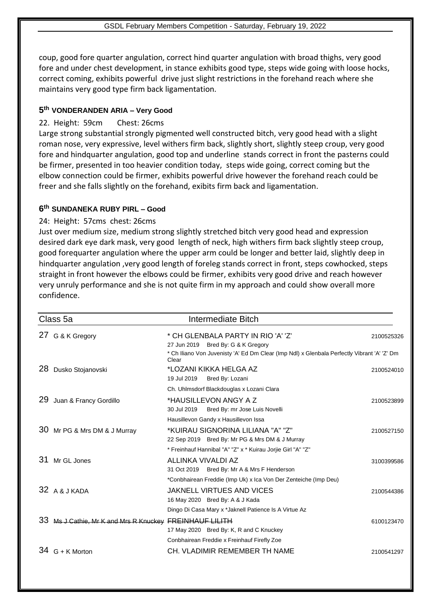coup, good fore quarter angulation, correct hind quarter angulation with broad thighs, very good fore and under chest development, in stance exhibits good type, steps wide going with loose hocks, correct coming, exhibits powerful drive just slight restrictions in the forehand reach where she maintains very good type firm back ligamentation.

## **5 th VONDERANDEN ARIA – Very Good**

## 22. Height: 59cm Chest: 26cms

Large strong substantial strongly pigmented well constructed bitch, very good head with a slight roman nose, very expressive, level withers firm back, slightly short, slightly steep croup, very good fore and hindquarter angulation, good top and underline stands correct in front the pasterns could be firmer, presented in too heavier condition today, steps wide going, correct coming but the elbow connection could be firmer, exhibits powerful drive however the forehand reach could be freer and she falls slightly on the forehand, exibits firm back and ligamentation.

## **6 th SUNDANEKA RUBY PIRL – Good**

## 24: Height: 57cms chest: 26cms

Just over medium size, medium strong slightly stretched bitch very good head and expression desired dark eye dark mask, very good length of neck, high withers firm back slightly steep croup, good forequarter angulation where the upper arm could be longer and better laid, slightly deep in hindquarter angulation ,very good length of foreleg stands correct in front, steps cowhocked, steps straight in front however the elbows could be firmer, exhibits very good drive and reach however very unruly performance and she is not quite firm in my approach and could show overall more confidence.

|    | Class 5a                                             | Intermediate Bitch                                                                                   |            |
|----|------------------------------------------------------|------------------------------------------------------------------------------------------------------|------------|
|    | 27 G & K Gregory                                     | * CH GLENBALA PARTY IN RIO 'A' 'Z'<br>27 Jun 2019 Bred By: G & K Gregory                             | 2100525326 |
|    |                                                      | * Ch Iliano Von Juvenisty 'A' Ed Dm Clear (Imp Ndl) x Glenbala Perfectly Vibrant 'A' 'Z' Dm<br>Clear |            |
| 28 | Dusko Stojanovski                                    | *LOZANI KIKKA HELGA AZ                                                                               | 2100524010 |
|    |                                                      | 19 Jul 2019<br>Bred By: Lozani                                                                       |            |
|    |                                                      | Ch. Uhlmsdorf Blackdouglas x Lozani Clara                                                            |            |
| 29 | Juan & Francy Gordillo                               | *HAUSILLEVON ANGY A Z                                                                                | 2100523899 |
|    |                                                      | 30 Jul 2019<br>Bred By: mr Jose Luis Novelli                                                         |            |
|    |                                                      | Hausillevon Gandy x Hausillevon Issa                                                                 |            |
| 30 | Mr PG & Mrs DM & J Murray                            | *KUIRAU SIGNORINA LILIANA "A" "Z"                                                                    | 2100527150 |
|    |                                                      | 22 Sep 2019 Bred By: Mr PG & Mrs DM & J Murray                                                       |            |
|    |                                                      | * Freinhauf Hannibal "A" "Z" x * Kuirau Jorjie Girl "A" "Z"                                          |            |
| 31 | Mr GL Jones                                          | ALLINKA VIVALDI AZ                                                                                   | 3100399586 |
|    |                                                      | 31 Oct 2019 Bred By: Mr A & Mrs F Henderson                                                          |            |
|    |                                                      | *Conbhairean Freddie (Imp Uk) x Ica Von Der Zenteiche (Imp Deu)                                      |            |
|    | 32 A & J KADA                                        | JAKNELL VIRTUES AND VICES                                                                            | 2100544386 |
|    |                                                      | 16 May 2020 Bred By: A & J Kada                                                                      |            |
|    |                                                      | Dingo Di Casa Mary x *Jaknell Patience Is A Virtue Az                                                |            |
| 33 | Ms J Cathie, Mr K and Mrs R Knuckey FREINHAUF LILITH |                                                                                                      | 6100123470 |
|    |                                                      | 17 May 2020 Bred By: K, R and C Knuckey                                                              |            |
|    |                                                      | Conbhairean Freddie x Freinhauf Firefly Zoe                                                          |            |
|    | 34 G + K Morton                                      | CH. VLADIMIR REMEMBER TH NAME                                                                        | 2100541297 |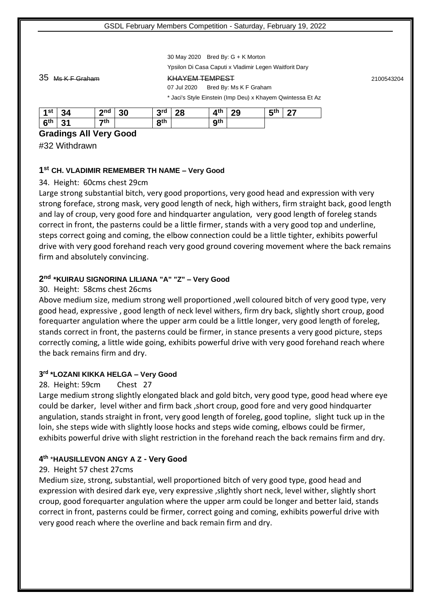30 May 2020 Bred By: G + K Morton

Ypsilon Di Casa Caputi x Vladimir Legen Waitforit Dary

#### 35 Ms K F Graham KHAYEM TEMPEST <sup>2100543204</sup>

07 Jul 2020 Bred By: Ms K F Graham \* Jaci's Style Einstein (Imp Deu) x Khayem Qwintessa Et Az

| 1st             | 34                    | 2 <sub>nd</sub> | 30 | 2rd<br>w   | 28 | $4^{\text{th}}$ | 29 | <b>д</b> th<br>- 14 | - 27 |
|-----------------|-----------------------|-----------------|----|------------|----|-----------------|----|---------------------|------|
| 6 <sup>th</sup> | 2 <sub>1</sub><br>. ن | $\mathbf{z}$ th |    | <b>gth</b> |    | <b>gth</b>      |    |                     |      |

#### **Gradings All Very Good**

#32 Withdrawn

#### **1 st CH. VLADIMIR REMEMBER TH NAME – Very Good**

#### 34. Height: 60cms chest 29cm

Large strong substantial bitch, very good proportions, very good head and expression with very strong foreface, strong mask, very good length of neck, high withers, firm straight back, good length and lay of croup, very good fore and hindquarter angulation, very good length of foreleg stands correct in front, the pasterns could be a little firmer, stands with a very good top and underline, steps correct going and coming, the elbow connection could be a little tighter, exhibits powerful drive with very good forehand reach very good ground covering movement where the back remains firm and absolutely convincing.

## **2 nd \*KUIRAU SIGNORINA LILIANA "A" "Z" – Very Good**

#### 30. Height: 58cms chest 26cms

Above medium size, medium strong well proportioned ,well coloured bitch of very good type, very good head, expressive , good length of neck level withers, firm dry back, slightly short croup, good forequarter angulation where the upper arm could be a little longer, very good length of foreleg, stands correct in front, the pasterns could be firmer, in stance presents a very good picture, steps correctly coming, a little wide going, exhibits powerful drive with very good forehand reach where the back remains firm and dry.

#### **3 rd \*LOZANI KIKKA HELGA – Very Good**

## 28. Height: 59cm Chest 27

Large medium strong slightly elongated black and gold bitch, very good type, good head where eye could be darker, level wither and firm back ,short croup, good fore and very good hindquarter angulation, stands straight in front, very good length of foreleg, good topline, slight tuck up in the loin, she steps wide with slightly loose hocks and steps wide coming, elbows could be firmer, exhibits powerful drive with slight restriction in the forehand reach the back remains firm and dry.

## **4 th** \***HAUSILLEVON ANGY A Z - Very Good**

## 29. Height 57 chest 27cms

Medium size, strong, substantial, well proportioned bitch of very good type, good head and expression with desired dark eye, very expressive ,slightly short neck, level wither, slightly short croup, good forequarter angulation where the upper arm could be longer and better laid, stands correct in front, pasterns could be firmer, correct going and coming, exhibits powerful drive with very good reach where the overline and back remain firm and dry.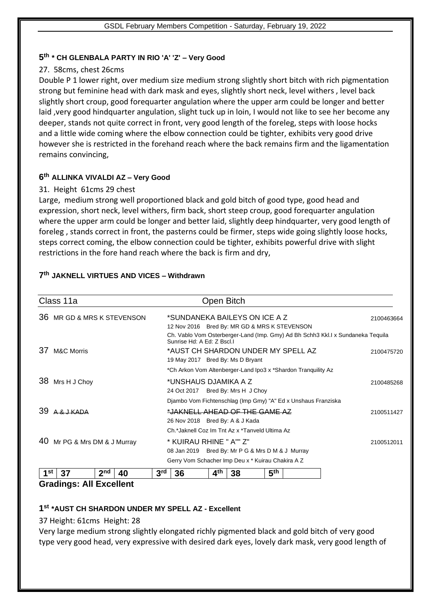## **5 th \* CH GLENBALA PARTY IN RIO 'A' 'Z' – Very Good**

## 27. 58cms, chest 26cms

Double P 1 lower right, over medium size medium strong slightly short bitch with rich pigmentation strong but feminine head with dark mask and eyes, slightly short neck, level withers , level back slightly short croup, good forequarter angulation where the upper arm could be longer and better laid ,very good hindquarter angulation, slight tuck up in loin, I would not like to see her become any deeper, stands not quite correct in front, very good length of the foreleg, steps with loose hocks and a little wide coming where the elbow connection could be tighter, exhibits very good drive however she is restricted in the forehand reach where the back remains firm and the ligamentation remains convincing,

## **6 th ALLINKA VIVALDI AZ – Very Good**

## 31. Height 61cms 29 chest

Large, medium strong well proportioned black and gold bitch of good type, good head and expression, short neck, level withers, firm back, short steep croup, good forequarter angulation where the upper arm could be longer and better laid, slightly deep hindquarter, very good length of foreleg , stands correct in front, the pasterns could be firmer, steps wide going slightly loose hocks, steps correct coming, the elbow connection could be tighter, exhibits powerful drive with slight restrictions in the fore hand reach where the back is firm and dry,

| Class 11a                   |                                                   |                 |    |                 |                                                               | Open Bitch              |                                                                               |                 |                                    |                                                                                 |            |
|-----------------------------|---------------------------------------------------|-----------------|----|-----------------|---------------------------------------------------------------|-------------------------|-------------------------------------------------------------------------------|-----------------|------------------------------------|---------------------------------------------------------------------------------|------------|
| 36                          | MR GD & MRS K STEVENSON                           |                 |    |                 |                                                               |                         | *SUNDANEKA BAILEYS ON ICE A Z<br>12 Nov 2016 Bred By: MR GD & MRS K STEVENSON |                 |                                    |                                                                                 | 2100463664 |
|                             |                                                   |                 |    |                 | Sunrise Hd: A Ed: Z Bscl.I                                    |                         |                                                                               |                 |                                    | Ch. Vablo Vom Osterberger-Land (Imp. Gmy) Ad Bh Schh3 Kkl. Ix Sundaneka Tequila |            |
| 37<br><b>M&amp;C Morris</b> |                                                   |                 |    |                 |                                                               |                         | 19 May 2017 Bred By: Ms D Bryant                                              |                 | *AUST CH SHARDON UNDER MY SPELL AZ |                                                                                 | 2100475720 |
|                             |                                                   |                 |    |                 | *Ch Arkon Vom Altenberger-Land Ipo3 x *Shardon Tranquility Az |                         |                                                                               |                 |                                    |                                                                                 |            |
| 38<br>Mrs H J Choy          |                                                   |                 |    |                 | *UNSHAUS DJAMIKA A Z<br>24 Oct 2017 Bred By: Mrs H J Choy     |                         |                                                                               |                 |                                    |                                                                                 | 2100485268 |
|                             |                                                   |                 |    |                 | Djambo Vom Fichtenschlag (Imp Gmy) "A" Ed x Unshaus Franziska |                         |                                                                               |                 |                                    |                                                                                 |            |
| 39                          | $I$ $K\Delta\Box\Delta$                           |                 |    |                 |                                                               |                         | *JAKNELL AHEAD OF THE GAME AZ<br>26 Nov 2018 Bred By: A & J Kada              |                 |                                    |                                                                                 | 2100511427 |
|                             |                                                   |                 |    |                 |                                                               |                         | Ch.*Jaknell Coz Im Tnt Az x *Tanveld Ultima Az                                |                 |                                    |                                                                                 |            |
| 40                          | Mr PG & Mrs DM & J Murray                         |                 |    |                 |                                                               | * KUIRAU RHINE " A"" Z" |                                                                               |                 |                                    |                                                                                 |            |
|                             |                                                   |                 |    |                 | 08 Jan 2019 Bred By: Mr P G & Mrs D M & J Murray              |                         |                                                                               |                 |                                    |                                                                                 |            |
|                             | Gerry Vom Schacher Imp Deu x * Kuirau Chakira A Z |                 |    |                 |                                                               |                         |                                                                               |                 |                                    |                                                                                 |            |
| 1st                         | 37                                                | 2 <sub>nd</sub> | 40 | 3 <sup>rd</sup> | 36                                                            | 4 <sup>th</sup>         | 38                                                                            | 5 <sup>th</sup> |                                    |                                                                                 |            |

## **7 th JAKNELL VIRTUES AND VICES – Withdrawn**

## **Gradings: All Excellent**

## **1 st \*AUST CH SHARDON UNDER MY SPELL AZ - Excellent**

## 37 Height: 61cms Height: 28

Very large medium strong slightly elongated richly pigmented black and gold bitch of very good type very good head, very expressive with desired dark eyes, lovely dark mask, very good length of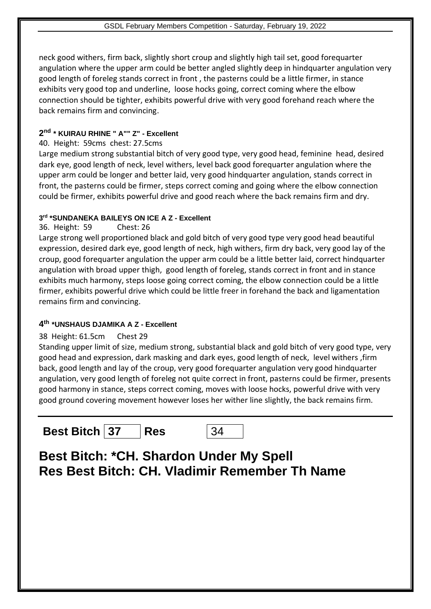neck good withers, firm back, slightly short croup and slightly high tail set, good forequarter angulation where the upper arm could be better angled slightly deep in hindquarter angulation very good length of foreleg stands correct in front , the pasterns could be a little firmer, in stance exhibits very good top and underline, loose hocks going, correct coming where the elbow connection should be tighter, exhibits powerful drive with very good forehand reach where the back remains firm and convincing.

## **2 nd \* KUIRAU RHINE " A"" Z" - Excellent**

## 40. Height: 59cms chest: 27.5cms

Large medium strong substantial bitch of very good type, very good head, feminine head, desired dark eye, good length of neck, level withers, level back good forequarter angulation where the upper arm could be longer and better laid, very good hindquarter angulation, stands correct in front, the pasterns could be firmer, steps correct coming and going where the elbow connection could be firmer, exhibits powerful drive and good reach where the back remains firm and dry.

## **3 rd \*SUNDANEKA BAILEYS ON ICE A Z - Excellent**

36. Height: 59 Chest: 26

Large strong well proportioned black and gold bitch of very good type very good head beautiful expression, desired dark eye, good length of neck, high withers, firm dry back, very good lay of the croup, good forequarter angulation the upper arm could be a little better laid, correct hindquarter angulation with broad upper thigh, good length of foreleg, stands correct in front and in stance exhibits much harmony, steps loose going correct coming, the elbow connection could be a little firmer, exhibits powerful drive which could be little freer in forehand the back and ligamentation remains firm and convincing.

## **4 th \*UNSHAUS DJAMIKA A Z - Excellent**

## 38 Height: 61.5cm Chest 29

Standing upper limit of size, medium strong, substantial black and gold bitch of very good type, very good head and expression, dark masking and dark eyes, good length of neck, level withers ,firm back, good length and lay of the croup, very good forequarter angulation very good hindquarter angulation, very good length of foreleg not quite correct in front, pasterns could be firmer, presents good harmony in stance, steps correct coming, moves with loose hocks, powerful drive with very good ground covering movement however loses her wither line slightly, the back remains firm.

**Best Bitch 37 Res** 34

**Best Bitch: \*CH. Shardon Under My Spell Res Best Bitch: CH. Vladimir Remember Th Name**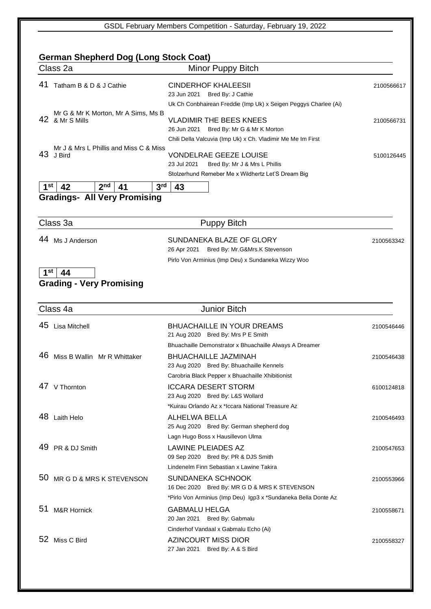| Class 2a                                               | Minor Puppy Bitch                                                                     |                                                      |
|--------------------------------------------------------|---------------------------------------------------------------------------------------|------------------------------------------------------|
| 41<br>Tatham B & D & J Cathie                          | <b>CINDERHOF KHALEESII</b><br>23 Jun 2021<br>Bred By: J Cathie                        | 2100566617                                           |
|                                                        | Uk Ch Conbhairean Freddie (Imp Uk) x Seigen Peggys Charlee (Ai)                       |                                                      |
| Mr G & Mr K Morton, Mr A Sims, Ms B<br>42 & Mr S Mills | <b>VLADIMIR THE BEES KNEES</b><br>Bred By: Mr G & Mr K Morton<br>26 Jun 2021          | 2100566731                                           |
|                                                        | Chili Della Valcuvia (Imp Uk) x Ch. Vladimir Me Me Im First                           |                                                      |
| Mr J & Mrs L Phillis and Miss C & Miss<br>43<br>J Bird | <b>VONDELRAE GEEZE LOUISE</b><br>Bred By: Mr J & Mrs L Phillis<br>23 Jul 2021         | 5100126445                                           |
|                                                        | Stolzerhund Remeber Me x Wildhertz Let'S Dream Big                                    |                                                      |
| 1 <sup>st</sup><br>2 <sub>nd</sub><br>42<br>41         | 3 <sup>rd</sup><br>43                                                                 |                                                      |
| <b>Gradings- All Very Promising</b>                    |                                                                                       |                                                      |
|                                                        |                                                                                       |                                                      |
| Class 3a                                               | <b>Puppy Bitch</b>                                                                    |                                                      |
| 44<br>Ms J Anderson                                    | SUNDANEKA BLAZE OF GLORY                                                              | 2100563342                                           |
|                                                        | 26 Apr 2021 Bred By: Mr.G&Mrs.K Stevenson                                             |                                                      |
|                                                        | Pirlo Von Arminius (Imp Deu) x Sundaneka Wizzy Woo                                    |                                                      |
| 1 <sup>st</sup><br>44                                  |                                                                                       |                                                      |
| <b>Grading - Very Promising</b>                        |                                                                                       |                                                      |
|                                                        |                                                                                       |                                                      |
| Class 4a                                               | <b>Junior Bitch</b>                                                                   |                                                      |
| 45<br><b>Lisa Mitchell</b>                             | <b>BHUACHAILLE IN YOUR DREAMS</b>                                                     | 2100546446                                           |
|                                                        | 21 Aug 2020 Bred By: Mrs P E Smith                                                    |                                                      |
| 46                                                     | Bhuachaille Demonstrator x Bhuachaille Always A Dreamer                               |                                                      |
| Miss B Wallin Mr R Whittaker                           | <b>BHUACHAILLE JAZMINAH</b><br>23 Aug 2020 Bred By: Bhuachaille Kennels               | 2100546438                                           |
|                                                        | Carobria Black Pepper x Bhuachaille Xhibitionist                                      |                                                      |
| 47 V Thornton                                          | <b>ICCARA DESERT STORM</b>                                                            | 6100124818                                           |
|                                                        |                                                                                       |                                                      |
|                                                        | 23 Aug 2020 Bred By: L&S Wollard<br>*Kuirau Orlando Az x *Iccara National Treasure Az |                                                      |
| 48 Laith Helo                                          | ALHELWA BELLA<br>25 Aug 2020 Bred By: German shepherd dog                             |                                                      |
|                                                        | Lagn Hugo Boss x Hausillevon Ulma                                                     |                                                      |
| 49 PR & DJ Smith                                       | LAWINE PLEIADES AZ<br>09 Sep 2020 Bred By: PR & DJS Smith                             |                                                      |
|                                                        | Lindenelm Finn Sebastian x Lawine Takira                                              |                                                      |
| 50 MR G D & MRS K STEVENSON                            | SUNDANEKA SCHNOOK<br>16 Dec 2020 Bred By: MR G D & MRS K STEVENSON                    |                                                      |
|                                                        | *Pirlo Von Arminius (Imp Deu) Igp3 x *Sundaneka Bella Donte Az                        |                                                      |
| 51<br><b>M&amp;R Hornick</b>                           | <b>GABMALU HELGA</b><br>20 Jan 2021<br>Bred By: Gabmalu                               |                                                      |
| 52 Miss C Bird                                         | Cinderhof Vandaal x Gabmalu Echo (Ai)                                                 | 2100546493<br>2100547653<br>2100553966<br>2100558671 |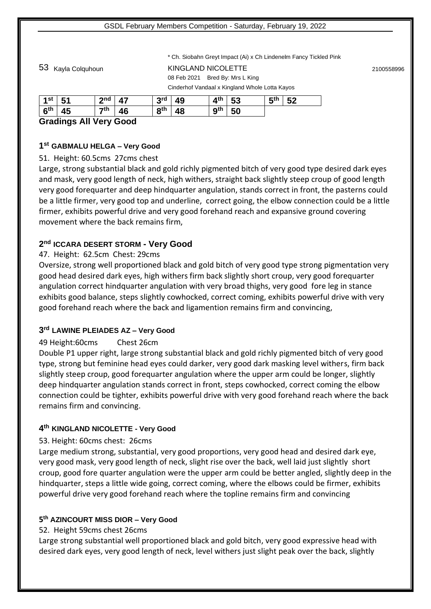\* Ch. Siobahn Greyt Impact (Ai) x Ch Lindenelm Fancy Tickled Pink

53 Kayla Colquhoun KINGLAND NICOLETTE <sup>2100558996</sup> 08 Feb 2021 Bred By: Mrs L King Cinderhof Vandaal x Kingland Whole Lotta Kayos

| $1^\mathsf{st}$   51 | $2nd$ 47        |    | $3^{\text{rd}}$ 49 | $4th$ 53 | $5th$ 52 |  |
|----------------------|-----------------|----|--------------------|----------|----------|--|
| $6^{\text{th}}$   45 | $\mathbf{7}$ th | 46 | $8^{th}$ 48        | $9th$ 50 |          |  |

## **Gradings All Very Good**

## **1 st GABMALU HELGA – Very Good**

51. Height: 60.5cms 27cms chest

Large, strong substantial black and gold richly pigmented bitch of very good type desired dark eyes and mask, very good length of neck, high withers, straight back slightly steep croup of good length very good forequarter and deep hindquarter angulation, stands correct in front, the pasterns could be a little firmer, very good top and underline, correct going, the elbow connection could be a little firmer, exhibits powerful drive and very good forehand reach and expansive ground covering movement where the back remains firm,

## **2 nd ICCARA DESERT STORM - Very Good**

## 47. Height: 62.5cm Chest: 29cms

Oversize, strong well proportioned black and gold bitch of very good type strong pigmentation very good head desired dark eyes, high withers firm back slightly short croup, very good forequarter angulation correct hindquarter angulation with very broad thighs, very good fore leg in stance exhibits good balance, steps slightly cowhocked, correct coming, exhibits powerful drive with very good forehand reach where the back and ligamention remains firm and convincing,

## **3 rd LAWINE PLEIADES AZ – Very Good**

## 49 Height:60cms Chest 26cm

Double P1 upper right, large strong substantial black and gold richly pigmented bitch of very good type, strong but feminine head eyes could darker, very good dark masking level withers, firm back slightly steep croup, good forequarter angulation where the upper arm could be longer, slightly deep hindquarter angulation stands correct in front, steps cowhocked, correct coming the elbow connection could be tighter, exhibits powerful drive with very good forehand reach where the back remains firm and convincing.

## **4 th KINGLAND NICOLETTE - Very Good**

## 53. Height: 60cms chest: 26cms

Large medium strong, substantial, very good proportions, very good head and desired dark eye, very good mask, very good length of neck, slight rise over the back, well laid just slightly short croup, good fore quarter angulation were the upper arm could be better angled, slightly deep in the hindquarter, steps a little wide going, correct coming, where the elbows could be firmer, exhibits powerful drive very good forehand reach where the topline remains firm and convincing

## **5 th AZINCOURT MISS DIOR – Very Good**

## 52. Height 59cms chest 26cms

Large strong substantial well proportioned black and gold bitch, very good expressive head with desired dark eyes, very good length of neck, level withers just slight peak over the back, slightly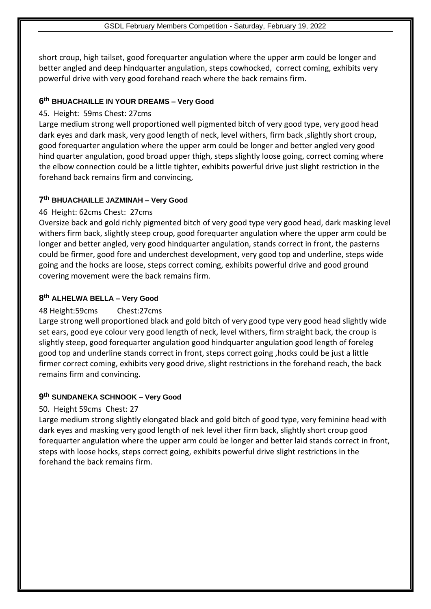short croup, high tailset, good forequarter angulation where the upper arm could be longer and better angled and deep hindquarter angulation, steps cowhocked, correct coming, exhibits very powerful drive with very good forehand reach where the back remains firm.

## **6 th BHUACHAILLE IN YOUR DREAMS – Very Good**

## 45. Height: 59ms Chest: 27cms

Large medium strong well proportioned well pigmented bitch of very good type, very good head dark eyes and dark mask, very good length of neck, level withers, firm back ,slightly short croup, good forequarter angulation where the upper arm could be longer and better angled very good hind quarter angulation, good broad upper thigh, steps slightly loose going, correct coming where the elbow connection could be a little tighter, exhibits powerful drive just slight restriction in the forehand back remains firm and convincing,

## **7 th BHUACHAILLE JAZMINAH – Very Good**

## 46 Height: 62cms Chest: 27cms

Oversize back and gold richly pigmented bitch of very good type very good head, dark masking level withers firm back, slightly steep croup, good forequarter angulation where the upper arm could be longer and better angled, very good hindquarter angulation, stands correct in front, the pasterns could be firmer, good fore and underchest development, very good top and underline, steps wide going and the hocks are loose, steps correct coming, exhibits powerful drive and good ground covering movement were the back remains firm.

## **8 th ALHELWA BELLA – Very Good**

## 48 Height:59cms Chest:27cms

Large strong well proportioned black and gold bitch of very good type very good head slightly wide set ears, good eye colour very good length of neck, level withers, firm straight back, the croup is slightly steep, good forequarter angulation good hindquarter angulation good length of foreleg good top and underline stands correct in front, steps correct going ,hocks could be just a little firmer correct coming, exhibits very good drive, slight restrictions in the forehand reach, the back remains firm and convincing.

## **9 th SUNDANEKA SCHNOOK – Very Good**

## 50. Height 59cms Chest: 27

Large medium strong slightly elongated black and gold bitch of good type, very feminine head with dark eyes and masking very good length of nek level ither firm back, slightly short croup good forequarter angulation where the upper arm could be longer and better laid stands correct in front, steps with loose hocks, steps correct going, exhibits powerful drive slight restrictions in the forehand the back remains firm.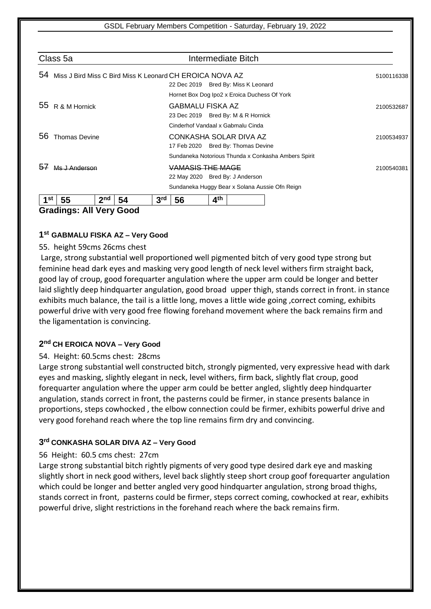| Class 5a                           | Intermediate Bitch                                       |            |
|------------------------------------|----------------------------------------------------------|------------|
| 54                                 | Miss J Bird Miss C Bird Miss K Leonard CH EROICA NOVA AZ | 5100116338 |
|                                    | 22 Dec 2019 Bred By: Miss K Leonard                      |            |
|                                    | Hornet Box Dog Ipo2 x Eroica Duchess Of York             |            |
| 55<br>R & M Hornick                | GABMALU FISKA AZ                                         | 2100532687 |
|                                    | 23 Dec 2019 Bred By: M & R Hornick                       |            |
|                                    | Cinderhof Vandaal x Gabmalu Cinda                        |            |
| 56<br><b>Thomas Devine</b>         | CONKASHA SOLAR DIVA AZ                                   | 2100534937 |
|                                    | 17 Feb 2020 Bred By: Thomas Devine                       |            |
|                                    | Sundaneka Notorious Thunda x Conkasha Ambers Spirit      |            |
|                                    | VAMASIS THE MAGE                                         | 2100540381 |
|                                    | 22 May 2020 Bred By: J Anderson                          |            |
|                                    | Sundaneka Huggy Bear x Solana Aussie Ofn Reign           |            |
| 1st<br>2 <sub>nd</sub><br>55<br>54 | 4 <sup>th</sup><br>3 <sup>rd</sup><br>56                 |            |

**Gradings: All Very Good**

## **1 st GABMALU FISKA AZ – Very Good**

#### 55. height 59cms 26cms chest

Large, strong substantial well proportioned well pigmented bitch of very good type strong but feminine head dark eyes and masking very good length of neck level withers firm straight back, good lay of croup, good forequarter angulation where the upper arm could be longer and better laid slightly deep hindquarter angulation, good broad upper thigh, stands correct in front. in stance exhibits much balance, the tail is a little long, moves a little wide going ,correct coming, exhibits powerful drive with very good free flowing forehand movement where the back remains firm and the ligamentation is convincing.

## **2 nd CH EROICA NOVA – Very Good**

#### 54. Height: 60.5cms chest: 28cms

Large strong substantial well constructed bitch, strongly pigmented, very expressive head with dark eyes and masking, slightly elegant in neck, level withers, firm back, slightly flat croup, good forequarter angulation where the upper arm could be better angled, slightly deep hindquarter angulation, stands correct in front, the pasterns could be firmer, in stance presents balance in proportions, steps cowhocked , the elbow connection could be firmer, exhibits powerful drive and very good forehand reach where the top line remains firm dry and convincing.

## **3 rd CONKASHA SOLAR DIVA AZ – Very Good**

#### 56 Height: 60.5 cms chest: 27cm

Large strong substantial bitch rightly pigments of very good type desired dark eye and masking slightly short in neck good withers, level back slightly steep short croup goof forequarter angulation which could be longer and better angled very good hindquarter angulation, strong broad thighs, stands correct in front, pasterns could be firmer, steps correct coming, cowhocked at rear, exhibits powerful drive, slight restrictions in the forehand reach where the back remains firm.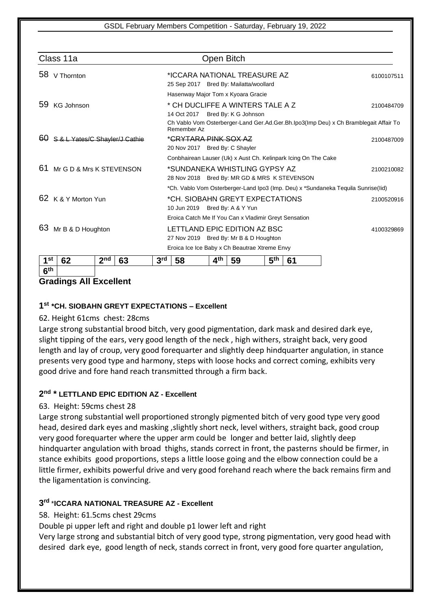|                                               | Class 11a                      |                 |                                                                               |                                                                                   |                                                                                       |                 | Open Bitch |                 |            |                                                                                      |            |
|-----------------------------------------------|--------------------------------|-----------------|-------------------------------------------------------------------------------|-----------------------------------------------------------------------------------|---------------------------------------------------------------------------------------|-----------------|------------|-----------------|------------|--------------------------------------------------------------------------------------|------------|
|                                               | 58 V Thornton                  |                 |                                                                               |                                                                                   | *ICCARA NATIONAL TREASURE AZ<br>6100107511<br>25 Sep 2017 Bred By: Mailatta/woollard  |                 |            |                 |            |                                                                                      |            |
|                                               |                                |                 |                                                                               |                                                                                   | Hasenway Major Tom x Kyoara Gracie                                                    |                 |            |                 |            |                                                                                      |            |
| 59<br>KG Johnson                              |                                |                 |                                                                               |                                                                                   | * CH DUCLIFFE A WINTERS TALE A Z<br>2100484709<br>Bred By: K G Johnson<br>14 Oct 2017 |                 |            |                 |            |                                                                                      |            |
|                                               |                                |                 |                                                                               |                                                                                   | Remember Az                                                                           |                 |            |                 |            | Ch Vablo Vom Osterberger-Land Ger.Ad.Ger.Bh.Ipo3(Imp Deu) x Ch Bramblegait Affair To |            |
| 60                                            | S & L Yates/C Shavler/J Cathie |                 |                                                                               | * <del>CRYTARA PINK SOX AZ</del><br>20 Nov 2017 Bred By: C Shayler                |                                                                                       |                 |            |                 |            | 2100487009                                                                           |            |
|                                               |                                |                 |                                                                               | Conbhairean Lauser (Uk) x Aust Ch. Kelinpark Icing On The Cake                    |                                                                                       |                 |            |                 |            |                                                                                      |            |
| 61                                            | Mr G D & Mrs K STEVENSON       |                 | *SUNDANEKA WHISTLING GYPSY AZ<br>28 Nov 2018 Bred By: MR GD & MRS K STEVENSON |                                                                                   |                                                                                       |                 |            |                 | 2100210082 |                                                                                      |            |
|                                               |                                |                 |                                                                               | *Ch. Vablo Vom Osterberger-Land Ipo3 (Imp. Deu) x *Sundaneka Tequila Sunrise(Iid) |                                                                                       |                 |            |                 |            |                                                                                      |            |
| 62                                            | K & Y Morton Yun               |                 |                                                                               |                                                                                   | *CH. SIOBAHN GREYT EXPECTATIONS<br>10 Jun 2019 Bred By: A & Y Yun                     |                 |            |                 |            |                                                                                      | 2100520916 |
|                                               |                                |                 |                                                                               | Eroica Catch Me If You Can x Vladimir Greyt Sensation                             |                                                                                       |                 |            |                 |            |                                                                                      |            |
| 63                                            | Mr B & D Houghton              |                 |                                                                               |                                                                                   | LETTLAND EPIC EDITION AZ BSC<br>27 Nov 2019 Bred By: Mr B & D Houghton                |                 |            |                 |            |                                                                                      | 4100329869 |
| Eroica Ice Ice Baby x Ch Beautrae Xtreme Envy |                                |                 |                                                                               |                                                                                   |                                                                                       |                 |            |                 |            |                                                                                      |            |
| 1 <sup>st</sup>                               | 62                             | 2 <sub>nd</sub> | 63                                                                            | 3 <sup>rd</sup>                                                                   | 58                                                                                    | 4 <sup>th</sup> | 59         | 5 <sup>th</sup> | 61         |                                                                                      |            |
| 6 <sup>th</sup>                               |                                |                 |                                                                               |                                                                                   |                                                                                       |                 |            |                 |            |                                                                                      |            |

## **Gradings All Excellent**

## **1 st \*CH. SIOBAHN GREYT EXPECTATIONS – Excellent**

## 62. Height 61cms chest: 28cms

Large strong substantial brood bitch, very good pigmentation, dark mask and desired dark eye, slight tipping of the ears, very good length of the neck , high withers, straight back, very good length and lay of croup, very good forequarter and slightly deep hindquarter angulation, in stance presents very good type and harmony, steps with loose hocks and correct coming, exhibits very good drive and fore hand reach transmitted through a firm back.

## **2 nd \* LETTLAND EPIC EDITION AZ - Excellent**

## 63. Height: 59cms chest 28

Large strong substantial well proportioned strongly pigmented bitch of very good type very good head, desired dark eyes and masking ,slightly short neck, level withers, straight back, good croup very good forequarter where the upper arm could be longer and better laid, slightly deep hindquarter angulation with broad thighs, stands correct in front, the pasterns should be firmer, in stance exhibits good proportions, steps a little loose going and the elbow connection could be a little firmer, exhibits powerful drive and very good forehand reach where the back remains firm and the ligamentation is convincing.

## **3 rd** \***ICCARA NATIONAL TREASURE AZ - Excellent**

## 58. Height: 61.5cms chest 29cms

Double pi upper left and right and double p1 lower left and right

Very large strong and substantial bitch of very good type, strong pigmentation, very good head with desired dark eye, good length of neck, stands correct in front, very good fore quarter angulation,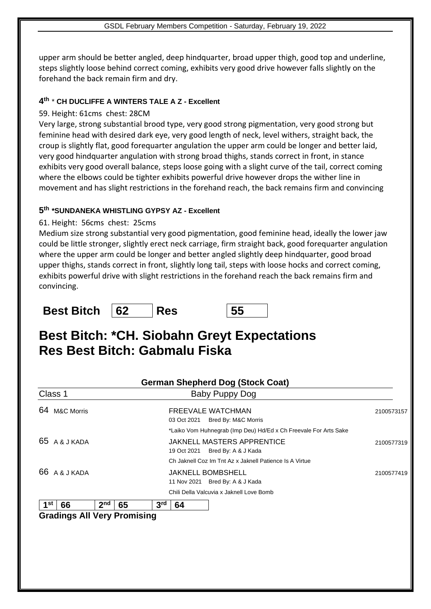upper arm should be better angled, deep hindquarter, broad upper thigh, good top and underline, steps slightly loose behind correct coming, exhibits very good drive however falls slightly on the forehand the back remain firm and dry.

## **4 th** \* **CH DUCLIFFE A WINTERS TALE A Z - Excellent**

## 59. Height: 61cms chest: 28CM

Very large, strong substantial brood type, very good strong pigmentation, very good strong but feminine head with desired dark eye, very good length of neck, level withers, straight back, the croup is slightly flat, good forequarter angulation the upper arm could be longer and better laid, very good hindquarter angulation with strong broad thighs, stands correct in front, in stance exhibits very good overall balance, steps loose going with a slight curve of the tail, correct coming where the elbows could be tighter exhibits powerful drive however drops the wither line in movement and has slight restrictions in the forehand reach, the back remains firm and convincing

## **5 th \*SUNDANEKA WHISTLING GYPSY AZ - Excellent**

## 61. Height: 56cms chest: 25cms

Medium size strong substantial very good pigmentation, good feminine head, ideally the lower jaw could be little stronger, slightly erect neck carriage, firm straight back, good forequarter angulation where the upper arm could be longer and better angled slightly deep hindquarter, good broad upper thighs, stands correct in front, slightly long tail, steps with loose hocks and correct coming, exhibits powerful drive with slight restrictions in the forehand reach the back remains firm and convincing.

## **Best Bitch 62 Res 55**

# **Best Bitch: \*CH. Siobahn Greyt Expectations Res Best Bitch: Gabmalu Fiska**

| <b>German Shepherd Dog (Stock Coat)</b>                                 |                                                                                                                                                                                                                                              |
|-------------------------------------------------------------------------|----------------------------------------------------------------------------------------------------------------------------------------------------------------------------------------------------------------------------------------------|
| <b>Baby Puppy Dog</b>                                                   |                                                                                                                                                                                                                                              |
| <b>FREEVALE WATCHMAN</b><br>Bred By: M&C Morris<br>03 Oct 2021          | 2100573157                                                                                                                                                                                                                                   |
| <b>JAKNELL MASTERS APPRENTICE</b><br>Bred By: A & J Kada<br>19 Oct 2021 | 2100577319                                                                                                                                                                                                                                   |
| <b>JAKNELL BOMBSHELL</b><br>11 Nov 2021 Bred By: A & J Kada             | 2100577419                                                                                                                                                                                                                                   |
|                                                                         |                                                                                                                                                                                                                                              |
|                                                                         |                                                                                                                                                                                                                                              |
|                                                                         | *Laiko Vom Huhnegrab (Imp Deu) Hd/Ed x Ch Freevale For Arts Sake<br>Ch Jaknell Coz Im Tnt Az x Jaknell Patience Is A Virtue<br>Chili Della Valcuvia x Jaknell Love Bomb<br>3 <sup>rd</sup><br>65<br>64<br><b>Gradings All Very Promising</b> |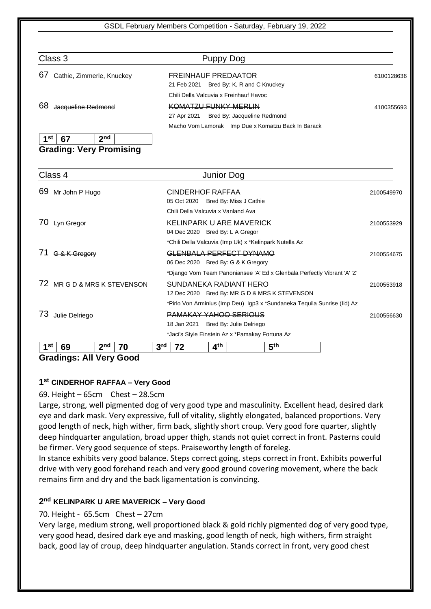| Class 3                         | Puppy Dog                                                                |            |
|---------------------------------|--------------------------------------------------------------------------|------------|
| 67<br>Cathie, Zimmerle, Knuckey | <b>FREINHAUF PREDAATOR</b><br>Bred By: K, R and C Knuckey<br>21 Feb 2021 | 6100128636 |
|                                 | Chili Della Valcuvia x Freinhauf Havoc                                   |            |
| 68<br>Jacqueline Redmond        | KOMATZLI ELINKY MERLIN<br>Bred By: Jacqueline Redmond<br>27 Apr 2021     | 4100355693 |
|                                 | Macho Vom Lamorak Imp Due x Komatzu Back In Barack                       |            |
| 2 <sub>nd</sub><br>1st<br>67    |                                                                          |            |
| <b>Grading: Very Promising</b>  |                                                                          |            |

| Class 4                                  | Junior Dog                                                               |            |
|------------------------------------------|--------------------------------------------------------------------------|------------|
| 69<br>Mr John P Hugo                     | <b>CINDERHOF RAFFAA</b><br>05 Oct 2020<br>Bred By: Miss J Cathie         | 2100549970 |
|                                          | Chili Della Valcuvia x Vanland Ava                                       |            |
| 70<br>Lyn Gregor                         | KELINPARK U ARE MAVERICK<br>04 Dec 2020 Bred By: L A Gregor              | 2100553929 |
|                                          | *Chili Della Valcuvia (Imp Uk) x *Kelinpark Nutella Az                   |            |
| G & K Gregory                            | <u>GLENBALA PERFECT DYNAMO</u><br>06 Dec 2020 Bred By: G & K Gregory     | 2100554675 |
|                                          | *Django Vom Team Panoniansee 'A' Ed x Glenbala Perfectly Vibrant 'A' 'Z' |            |
| MR G D & MRS K STEVENSON<br>72           | SUNDANEKA RADIANT HERO<br>12 Dec 2020 Bred By: MR G D & MRS K STEVENSON  | 2100553918 |
|                                          | *Pirlo Von Arminius (Imp Deu) Igp3 x *Sundaneka Tequila Sunrise (Iid) Az |            |
| 73<br>Julie Delriego                     | PAMAKAY YAHOO SERIOUS<br>18 Jan 2021<br>Bred By: Julie Delriego          | 2100556630 |
|                                          | *Jaci's Style Einstein Az x *Pamakay Fortuna Az                          |            |
| 2 <sub>nd</sub><br>4 St<br>69<br>70<br>. | 4 <sup>th</sup><br>5 <sup>th</sup><br>3 <sup>rd</sup><br>72              |            |

**Gradings: All Very Good**

## **1 st CINDERHOF RAFFAA – Very Good**

## 69. Height – 65cm Chest – 28.5cm

Large, strong, well pigmented dog of very good type and masculinity. Excellent head, desired dark eye and dark mask. Very expressive, full of vitality, slightly elongated, balanced proportions. Very good length of neck, high wither, firm back, slightly short croup. Very good fore quarter, slightly deep hindquarter angulation, broad upper thigh, stands not quiet correct in front. Pasterns could be firmer. Very good sequence of steps. Praiseworthy length of foreleg.

In stance exhibits very good balance. Steps correct going, steps correct in front. Exhibits powerful drive with very good forehand reach and very good ground covering movement, where the back remains firm and dry and the back ligamentation is convincing.

## **2 nd KELINPARK U ARE MAVERICK – Very Good**

## 70. Height - 65.5cm Chest – 27cm

Very large, medium strong, well proportioned black & gold richly pigmented dog of very good type, very good head, desired dark eye and masking, good length of neck, high withers, firm straight back, good lay of croup, deep hindquarter angulation. Stands correct in front, very good chest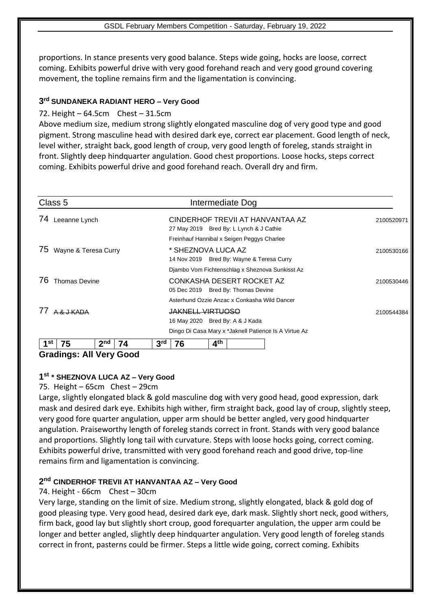proportions. In stance presents very good balance. Steps wide going, hocks are loose, correct coming. Exhibits powerful drive with very good forehand reach and very good ground covering movement, the topline remains firm and the ligamentation is convincing.

## **3 rd SUNDANEKA RADIANT HERO – Very Good**

## 72. Height – 64.5cm Chest – 31.5cm

Above medium size, medium strong slightly elongated masculine dog of very good type and good pigment. Strong masculine head with desired dark eye, correct ear placement. Good length of neck, level wither, straight back, good length of croup, very good length of foreleg, stands straight in front. Slightly deep hindquarter angulation. Good chest proportions. Loose hocks, steps correct coming. Exhibits powerful drive and good forehand reach. Overall dry and firm.

| Class 5                             | Intermediate Dog                                                           |            |
|-------------------------------------|----------------------------------------------------------------------------|------------|
| 74<br>Leeanne Lynch                 | CINDERHOF TREVILAT HANVANTAA AZ<br>27 May 2019 Bred By: L Lynch & J Cathie | 2100520971 |
|                                     | Freinhauf Hannibal x Seigen Peggys Charlee                                 |            |
| 75<br>Wayne & Teresa Curry          | * SHEZNOVA LUCA AZ<br>14 Nov 2019 Bred By: Wayne & Teresa Curry            | 2100530166 |
|                                     | Djambo Vom Fichtenschlag x Sheznova Sunkisst Az                            |            |
| 76<br><b>Thomas Devine</b>          | CONKASHA DESERT ROCKET AZ<br>05 Dec 2019 Bred By: Thomas Devine            | 2100530446 |
|                                     | Asterhund Ozzie Anzac x Conkasha Wild Dancer                               |            |
| <u>A &amp; I KADA</u>               | <b>JAKNELL VIRTUOSO</b><br>16 May 2020 Bred By: A & J Kada                 | 2100544384 |
|                                     | Dingo Di Casa Mary x *Jaknell Patience Is A Virtue Az                      |            |
| 2 <sub>nd</sub><br>75<br>l St<br>74 | 4 <sup>th</sup><br>3 <sup>rd</sup><br>76                                   |            |

## **Gradings: All Very Good**

## **1 st \* SHEZNOVA LUCA AZ – Very Good**

75. Height – 65cm Chest – 29cm

Large, slightly elongated black & gold masculine dog with very good head, good expression, dark mask and desired dark eye. Exhibits high wither, firm straight back, good lay of croup, slightly steep, very good fore quarter angulation, upper arm should be better angled, very good hindquarter angulation. Praiseworthy length of foreleg stands correct in front. Stands with very good balance and proportions. Slightly long tail with curvature. Steps with loose hocks going, correct coming. Exhibits powerful drive, transmitted with very good forehand reach and good drive, top-line remains firm and ligamentation is convincing.

## **2 nd CINDERHOF TREVII AT HANVANTAA AZ – Very Good**

74. Height - 66cm Chest – 30cm

Very large, standing on the limit of size. Medium strong, slightly elongated, black & gold dog of good pleasing type. Very good head, desired dark eye, dark mask. Slightly short neck, good withers, firm back, good lay but slightly short croup, good forequarter angulation, the upper arm could be longer and better angled, slightly deep hindquarter angulation. Very good length of foreleg stands correct in front, pasterns could be firmer. Steps a little wide going, correct coming. Exhibits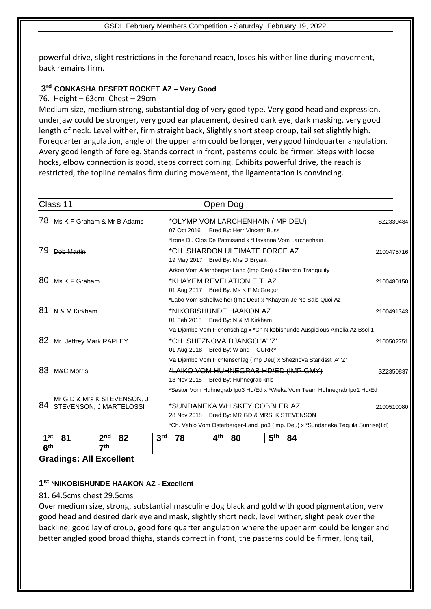powerful drive, slight restrictions in the forehand reach, loses his wither line during movement, back remains firm.

## **3 rd CONKASHA DESERT ROCKET AZ – Very Good**

76. Height – 63cm Chest – 29cm

Medium size, medium strong, substantial dog of very good type. Very good head and expression, underjaw could be stronger, very good ear placement, desired dark eye, dark masking, very good length of neck. Level wither, firm straight back, Slightly short steep croup, tail set slightly high. Forequarter angulation, angle of the upper arm could be longer, very good hindquarter angulation. Avery good length of foreleg. Stands correct in front, pasterns could be firmer. Steps with loose hocks, elbow connection is good, steps correct coming. Exhibits powerful drive, the reach is restricted, the topline remains firm during movement, the ligamentation is convincing.

| Class 11                                                     | Open Dog                                                                          |            |
|--------------------------------------------------------------|-----------------------------------------------------------------------------------|------------|
| Ms K F Graham & Mr B Adams<br>78                             | *OLYMP VOM LARCHENHAIN (IMP DEU)<br>Bred By: Herr Vincent Buss<br>07 Oct 2016     | SZ2330484  |
|                                                              | *Irone Du Clos De Patmisand x *Havanna Vom Larchenhain                            |            |
| 79<br>Deb Martin                                             | *CH. SHARDON ULTIMATE FORCE AZ                                                    | 2100475716 |
|                                                              | 19 May 2017 Bred By: Mrs D Bryant                                                 |            |
|                                                              | Arkon Vom Alternberger Land (Imp Deu) x Shardon Tranquility                       |            |
| 80<br>Ms K F Graham                                          | *KHAYEM REVELATION E.T. AZ<br>01 Aug 2017 Bred By: Ms K F McGregor                | 2100480150 |
|                                                              | *Labo Vom Schollweiher (Imp Deu) x *Khayem Je Ne Sais Quoi Az                     |            |
| 81<br>N & M Kirkham                                          | *NIKOBISHUNDE HAAKON AZ<br>01 Feb 2018 Bred By: N & M Kirkham                     | 2100491343 |
|                                                              | Va Djambo Vom Fichenschlag x *Ch Nikobishunde Auspicious Amelia Az Bscl 1         |            |
| 82<br>Mr. Jeffrey Mark RAPLEY                                | *CH. SHEZNOVA DJANGO 'A' 'Z'<br>01 Aug 2018 Bred By: W and T CURRY                | 2100502751 |
|                                                              | Va Djambo Vom Fichtenschlag (Imp Deu) x Sheznova Starkisst 'A' 'Z'                |            |
| 83<br><b>M&amp;C Morris</b>                                  | *LAIKO VOM HUHNEGRAB HD/ED (IMP GMY)                                              | SZ2350837  |
|                                                              | 13 Nov 2018 Bred By: Huhnegrab knls                                               |            |
|                                                              | *Sastor Vom Huhnegrab Ipo3 Hd/Ed x *Wieka Vom Team Huhnegrab Ipo1 Hd/Ed           |            |
| Mr G D & Mrs K STEVENSON, J<br>84<br>STEVENSON, J MARTELOSSI | *SUNDANEKA WHISKEY COBBLER AZ<br>28 Nov 2018 Bred By: MR GD & MRS K STEVENSON     | 2100510080 |
|                                                              | *Ch. Vablo Vom Osterberger-Land Ipo3 (Imp. Deu) x *Sundaneka Tequila Sunrise(lid) |            |
| 2 <sub>nd</sub><br>1st<br><b>81</b><br>82                    | ⊿th<br>Fth<br>3rd<br><b>78</b><br>- 80<br>$\mathbf{A}$                            |            |

| 1st                     |  | າກd | o٥<br>0Z | 2rd<br>÷ |  | <b>Ath</b> | 80 | <b>Eth</b><br>- 1 | 84 |  |
|-------------------------|--|-----|----------|----------|--|------------|----|-------------------|----|--|
| $c$ th                  |  | ァth |          |          |  |            |    |                   |    |  |
| Gradings: All Eveallant |  |     |          |          |  |            |    |                   |    |  |

## **Gradings: All Excellent**

## **1 st** \***NIKOBISHUNDE HAAKON AZ - Excellent**

#### 81. 64.5cms chest 29.5cms

Over medium size, strong, substantial masculine dog black and gold with good pigmentation, very good head and desired dark eye and mask, slightly short neck, level wither, slight peak over the backline, good lay of croup, good fore quarter angulation where the upper arm could be longer and better angled good broad thighs, stands correct in front, the pasterns could be firmer, long tail,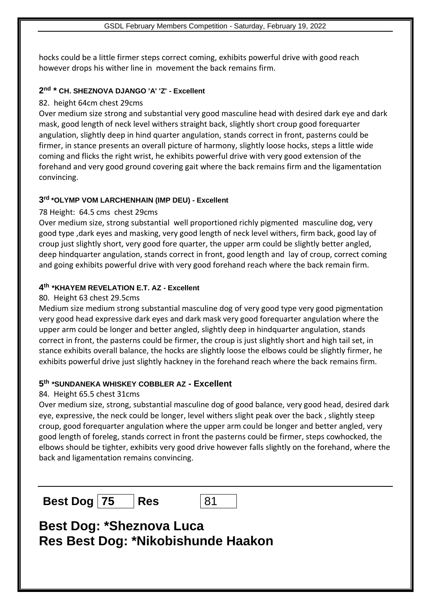hocks could be a little firmer steps correct coming, exhibits powerful drive with good reach however drops his wither line in movement the back remains firm.

## **2 nd \* CH. SHEZNOVA DJANGO 'A' 'Z' - Excellent**

#### 82. height 64cm chest 29cms

Over medium size strong and substantial very good masculine head with desired dark eye and dark mask, good length of neck level withers straight back, slightly short croup good forequarter angulation, slightly deep in hind quarter angulation, stands correct in front, pasterns could be firmer, in stance presents an overall picture of harmony, slightly loose hocks, steps a little wide coming and flicks the right wrist, he exhibits powerful drive with very good extension of the forehand and very good ground covering gait where the back remains firm and the ligamentation convincing.

## **3 rd \*OLYMP VOM LARCHENHAIN (IMP DEU) - Excellent**

#### 78 Height: 64.5 cms chest 29cms

Over medium size, strong substantial well proportioned richly pigmented masculine dog, very good type ,dark eyes and masking, very good length of neck level withers, firm back, good lay of croup just slightly short, very good fore quarter, the upper arm could be slightly better angled, deep hindquarter angulation, stands correct in front, good length and lay of croup, correct coming and going exhibits powerful drive with very good forehand reach where the back remain firm.

## **4 th \*KHAYEM REVELATION E.T. AZ - Excellent**

#### 80. Height 63 chest 29.5cms

Medium size medium strong substantial masculine dog of very good type very good pigmentation very good head expressive dark eyes and dark mask very good forequarter angulation where the upper arm could be longer and better angled, slightly deep in hindquarter angulation, stands correct in front, the pasterns could be firmer, the croup is just slightly short and high tail set, in stance exhibits overall balance, the hocks are slightly loose the elbows could be slightly firmer, he exhibits powerful drive just slightly hackney in the forehand reach where the back remains firm.

#### **5 th \*SUNDANEKA WHISKEY COBBLER AZ - Excellent**

#### 84. Height 65.5 chest 31cms

Over medium size, strong, substantial masculine dog of good balance, very good head, desired dark eye, expressive, the neck could be longer, level withers slight peak over the back , slightly steep croup, good forequarter angulation where the upper arm could be longer and better angled, very good length of foreleg, stands correct in front the pasterns could be firmer, steps cowhocked, the elbows should be tighter, exhibits very good drive however falls slightly on the forehand, where the back and ligamentation remains convincing.

**Best Dog 75 Res** 81

# **Best Dog: \*Sheznova Luca Res Best Dog: \*Nikobishunde Haakon**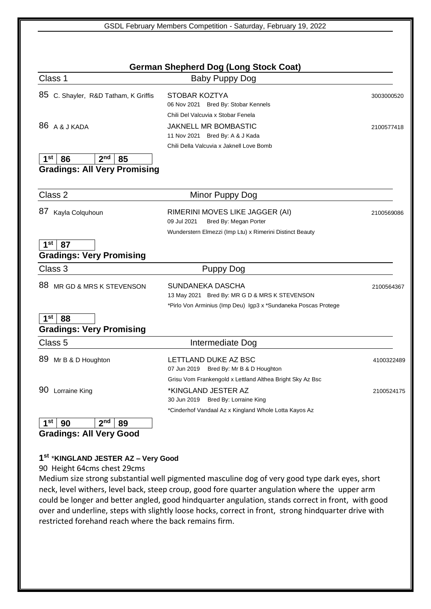| Class 1                                        | Baby Puppy Dog                                                                              |            |
|------------------------------------------------|---------------------------------------------------------------------------------------------|------------|
| 85 C. Shayler, R&D Tatham, K Griffis           | STOBAR KOZTYA<br>06 Nov 2021 Bred By: Stobar Kennels                                        | 3003000520 |
|                                                | Chili Del Valcuvia x Stobar Fenela                                                          |            |
| 86 A & J KADA                                  | JAKNELL MR BOMBASTIC                                                                        | 2100577418 |
|                                                | 11 Nov 2021 Bred By: A & J Kada                                                             |            |
|                                                | Chili Della Valcuvia x Jaknell Love Bomb                                                    |            |
| 1 <sup>st</sup><br>2 <sub>nd</sub><br>86<br>85 |                                                                                             |            |
| <b>Gradings: All Very Promising</b>            |                                                                                             |            |
|                                                |                                                                                             |            |
| Class 2                                        | Minor Puppy Dog                                                                             |            |
| 87 Kayla Colquhoun                             | RIMERINI MOVES LIKE JAGGER (AI)                                                             | 2100569086 |
|                                                | 09 Jul 2021<br>Bred By: Megan Porter                                                        |            |
|                                                | Wunderstern Elmezzi (Imp Ltu) x Rimerini Distinct Beauty                                    |            |
| 1 <sup>st</sup><br>87                          |                                                                                             |            |
| <b>Gradings: Very Promising</b>                |                                                                                             |            |
| Class 3                                        | Puppy Dog                                                                                   |            |
| 88<br>MR GD & MRS K STEVENSON                  | SUNDANEKA DASCHA                                                                            | 2100564367 |
|                                                | 13 May 2021 Bred By: MR G D & MRS K STEVENSON                                               |            |
|                                                | *Pirlo Von Arminius (Imp Deu) Igp3 x *Sundaneka Poscas Protege                              |            |
|                                                |                                                                                             |            |
| 1 <sup>st</sup><br>88                          |                                                                                             |            |
| <b>Gradings: Very Promising</b>                |                                                                                             |            |
| Class 5                                        | Intermediate Dog                                                                            |            |
|                                                | LETTLAND DUKE AZ BSC                                                                        |            |
| 89 Mr B & D Houghton                           | 07 Jun 2019 Bred By: Mr B & D Houghton                                                      | 4100322489 |
|                                                | Grisu Vom Frankengold x Lettland Althea Bright Sky Az Bsc                                   |            |
| 90 Lorraine King                               | *KINGLAND JESTER AZ                                                                         | 2100524175 |
|                                                | 30 Jun 2019 Bred By: Lorraine King<br>*Cinderhof Vandaal Az x Kingland Whole Lotta Kayos Az |            |

## **1 st** \***KINGLAND JESTER AZ – Very Good**

90 Height 64cms chest 29cms

Medium size strong substantial well pigmented masculine dog of very good type dark eyes, short neck, level withers, level back, steep croup, good fore quarter angulation where the upper arm could be longer and better angled, good hindquarter angulation, stands correct in front, with good over and underline, steps with slightly loose hocks, correct in front, strong hindquarter drive with restricted forehand reach where the back remains firm.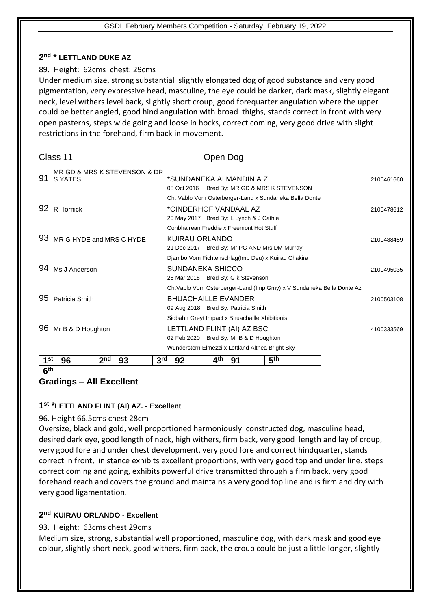## **2 nd \* LETTLAND DUKE AZ**

#### 89. Height: 62cms chest: 29cms

Under medium size, strong substantial slightly elongated dog of good substance and very good pigmentation, very expressive head, masculine, the eye could be darker, dark mask, slightly elegant neck, level withers level back, slightly short croup, good forequarter angulation where the upper could be better angled, good hind angulation with broad thighs, stands correct in front with very open pasterns, steps wide going and loose in hocks, correct coming, very good drive with slight restrictions in the forehand, firm back in movement.

|                                    | Class 11                                       |                 |    |                 |                                                                                                                            | Open Dog        |                                                                                                                         |                 |  |                                                                       |            |  |
|------------------------------------|------------------------------------------------|-----------------|----|-----------------|----------------------------------------------------------------------------------------------------------------------------|-----------------|-------------------------------------------------------------------------------------------------------------------------|-----------------|--|-----------------------------------------------------------------------|------------|--|
| 91                                 | MR GD & MRS K STEVENSON & DR<br><b>S YATES</b> |                 |    |                 | *SUNDANEKA ALMANDIN A Z<br>08 Oct 2016 Bred By: MR GD & MRS K STEVENSON                                                    |                 |                                                                                                                         |                 |  |                                                                       |            |  |
| 92                                 | R Hornick                                      |                 |    |                 | Ch. Vablo Vom Osterberger-Land x Sundaneka Bella Donte<br>*CINDERHOF VANDAAL AZ<br>20 May 2017 Bred By: L Lynch & J Cathie |                 |                                                                                                                         |                 |  |                                                                       |            |  |
| 93                                 | MR G HYDE and MRS C HYDE                       |                 |    |                 | Conbhairean Freddie x Freemont Hot Stuff<br>KUIRAU ORLANDO<br>21 Dec 2017 Bred By: Mr PG AND Mrs DM Murray                 |                 |                                                                                                                         |                 |  |                                                                       |            |  |
|                                    | Me LAnderson                                   |                 |    |                 | SUNDANEKA SHICCO                                                                                                           |                 | Djambo Vom Fichtenschlag(Imp Deu) x Kuirau Chakira<br>28 Mar 2018 Bred By: G k Stevenson                                |                 |  |                                                                       | 2100495035 |  |
| 95                                 | Patricia Smith                                 |                 |    |                 | <b>BHUACHAILLE EVANDER</b>                                                                                                 |                 | 09 Aug 2018 Bred By: Patricia Smith                                                                                     |                 |  | Ch. Vablo Vom Osterberger-Land (Imp Gmy) x V Sundaneka Bella Donte Az | 2100503108 |  |
| 96                                 | Mr B & D Houghton                              |                 |    |                 |                                                                                                                            |                 | Siobahn Greyt Impact x Bhuachaille Xhibitionist<br>LETTLAND FLINT (AI) AZ BSC<br>02 Feb 2020 Bred By: Mr B & D Houghton |                 |  |                                                                       | 4100333569 |  |
|                                    |                                                |                 |    |                 |                                                                                                                            |                 | Wunderstern Elmezzi x Lettland Althea Bright Sky                                                                        |                 |  |                                                                       |            |  |
| 1 <sup>st</sup><br>6 <sup>th</sup> | 96                                             | 2 <sub>nd</sub> | 93 | 3 <sup>rd</sup> | 92                                                                                                                         | 4 <sup>th</sup> | 91                                                                                                                      | 5 <sup>th</sup> |  |                                                                       |            |  |

## **Gradings – All Excellent**

## **1 st \*LETTLAND FLINT (AI) AZ. - Excellent**

## 96. Height 66.5cms chest 28cm

Oversize, black and gold, well proportioned harmoniously constructed dog, masculine head, desired dark eye, good length of neck, high withers, firm back, very good length and lay of croup, very good fore and under chest development, very good fore and correct hindquarter, stands correct in front, in stance exhibits excellent proportions, with very good top and under line. steps correct coming and going, exhibits powerful drive transmitted through a firm back, very good forehand reach and covers the ground and maintains a very good top line and is firm and dry with very good ligamentation.

## **2 nd KUIRAU ORLANDO - Excellent**

## 93. Height: 63cms chest 29cms

Medium size, strong, substantial well proportioned, masculine dog, with dark mask and good eye colour, slightly short neck, good withers, firm back, the croup could be just a little longer, slightly